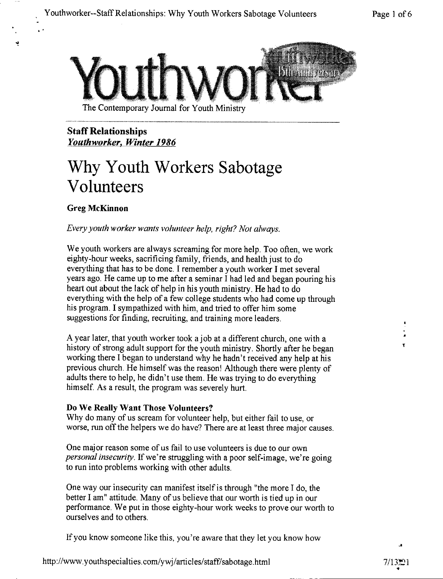

**Staff Relationships**  *Youthworker, Winter 1986* 

# **Why Youth Workers Sabotage Volunteers**

# **Greg McKinnon**

¥

*Every youth worker wants volunteer help, right? Not always.* 

We youth workers are always screaming for more help. Too often, we work eighty-hour weeks, sacrificing family, friends, and health just to do everything that has to be done. I remember a youth worker I met several years ago. He came up to me after a seminar I had led and began pouring his heart out about the lack of help in his youth ministry. **He** had to do everything with the help of a few college students who had come up through his program. I sympathized with him, and tried to offer him some suggestions for finding, recruiting, and training more leaders.

A year later, that youth worker took a job at a different church, one with a history of strong adult support for the youth ministry. Shortly after he began working there I began to understand why he hadn't received any help at his previous church. He himself was the reason! Although there were plenty of adults there to help, he didn't use them. He was trying to do everything himself. As a result, the program was severely hurt.

## **Do We Really Want Those Volunteers?**

Why do many of us scream for volunteer help, but either fail to use, or worse, run off the helpers we do have? There are at least three major causes.

One major reason some of us fail to use volunteers is due to our own *personal insecurity.* If we're struggling with a poor self-image, we're going to run into problems working with other adults.

One way our insecurity can manifest itself is through "the more I do, the better I am" attitude. Many of us believe that our worth is tied up in our performance. We put in those eighty-hour work weeks to prove our worth to ourselves and to others.

If you know someone like this, you're aware that they let you know how

**T** 

 $\ddot{\cdot}$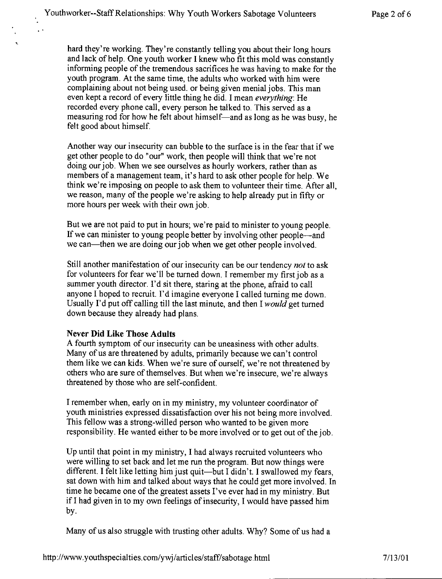hard they're working. They're constantly telling you about their long hours and lack of help. One youth worker I knew who fit this mold was constantly informing people of the tremendous sacrifices he was having to make for the youth program. At the same time, the adults who worked with him were complaining about not being used. or being given menial jobs. This man even kept a record of every little thing he did. I mean *everything:* He recorded every phone call, every person he talked to. This served as a measuring rod for how he felt about himself-and as long as he was busy, he felt good about himself.

Another way our insecurity can bubble to the surface is in the fear that if we get other people to do "our" work, then people will think that we're not doing our job. When we see ourselves as hourly workers, rather than as members of a management team, it's hard to ask other people for help. We think we're imposing on people to ask them to volunteer their time. After all, we reason, many of the people we're asking to help already put in fifty or more hours per week with their own job.

But we are not paid to put in hours; we're paid to minister to young people. If we can minister to young people better by involving other people-and we can—then we are doing our job when we get other people involved.

Still another manifestation of our insecurity can be our tendency *not* to ask for volunteers for fear we'll be turned down. I remember my first job as a summer youth director. I'd sit there, staring at the phone, afraid to call anyone I hoped to recruit. I'd imagine everyone I called turning me down. Usually I'd put off calling till the last minute, and then I *would* get turned down because they already had plans.

## **Never Did Like Those Adults**

A fourth symptom of our insecurity can be uneasiness with other adults. Many of us are threatened by adults, primarily because we can't control them like we can kids. When we're sure of ourself, we're not threatened by others who are sure of themselves. But when we're insecure, we're always threatened by those who are self-confident.

I remember when, early on in my ministry, my volunteer coordinator of youth ministries expressed dissatisfaction over his not being more involved. This fellow was a strong-willed person who wanted to be given more responsibility. He wanted either to be more involved or to get out of the job.

Up until that point in my ministry, I had always recruited volunteers who were willing to set back and let me run the program. But now things were different. I felt like letting him just quit-but I didn't. I swallowed my fears, sat down with him and talked about ways that he could get more involved. In time he became one of the greatest assets I've ever had in my ministry. But ifl had given in to my own feelings of insecurity, I would have passed him by.

Many of us also struggle with trusting other adults. Why? Some of us had a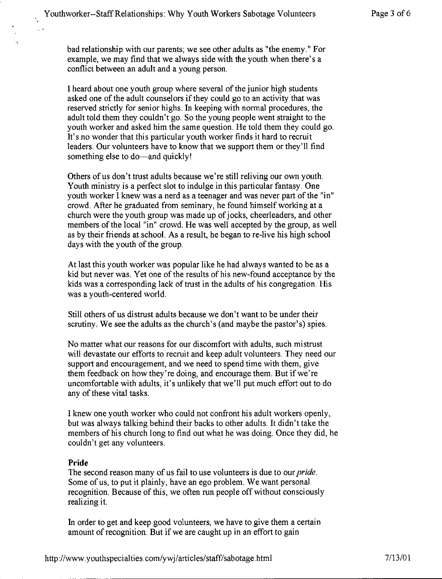bad relationship with our parents; we see other adults as "the enemy." For example, we may find that we always side with the youth when there's a conflict between an adult and a young person.

I heard about one youth group where several of the junior high students asked one of the adult counselors if they could go to an activity that was reserved strictly for senior highs. In keeping with normal procedures, the adult told them they couldn't go. So the young people went straight to the youth worker and asked him the same question. He told them they could go. It's no wonder that this particular youth worker finds it hard to recruit leaders. Our volunteers have to know that we support them or they'll find something else to do—and quickly!

Others of us don't trust adults because we're still reliving our own youth. Youth ministry is a perfect slot to indulge in this particular fantasy. One youth worker I knew was a nerd as a teenager and was never part of the "in" crowd. After he graduated from seminary, he found himself working at a church were the youth group was made up of jocks, cheerleaders, and other members of the local "in" crowd. He was well accepted by the group, as well as by their friends at school. As a result, he began to re-live his high school days with the youth of the group.

At last this youth worker was popular like he had always wanted to be as a kid but never was. Yet one of the results of his new-found acceptance by the kids was a corresponding lack of trust in the adults of his congregation. His was a youth-centered world.

Still others of us distrust adults because we don't want to be under their scrutiny. We see the adults as the church's (and maybe the pastor's) spies.

No matter what our reasons for our discomfort with adults, such mistrust will devastate our efforts to recruit and keep adult volunteers. They need our support and encouragement, and we need to spend time with them, give them feedback on how they're doing, and encourage them. But if we're uncomfortable with adults, it's unlikely that we'll put much effort out to do any of these vital tasks.

I knew one youth worker who could not confront his adult workers openly, but was always talking behind their backs to other adults. It didn't take the members of his church long to find out what he was doing. Once they did, he couldn't get any volunteers.

#### **Pride**

The second reason many of us fail to use volunteers is due to our *pride*. Some of us, to put it plainly, have an ego problem. We want personal recognition. Because of this, we often run people off without consciously realizing it.

In order to get and keep good volunteers, we have to give them a certain amount of recognition. But if we are caught up in an effort to gain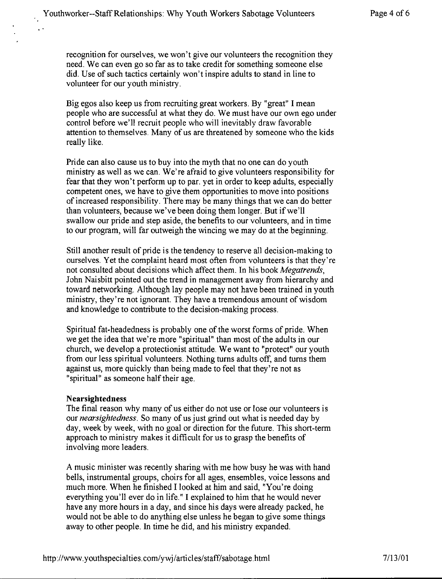recognition for ourselves, we won't give our volunteers the recognition they need. We can even go so far as to take credit for something someone else did. Use of such tactics certainly won't inspire adults to stand in line to volunteer for our youth ministry.

Big egos also keep us from recruiting great workers. By "great" I mean people who are successful at what they do. We must have our own ego under control before we'll recruit people who will inevitably draw favorable attention to themselves. Many of us are threatened by someone who the kids really like.

Pride can also cause us to buy into the myth that no one can do youth ministry as well as we can. We're afraid to give volunteers responsibility for fear that they won't perform up to par. yet in order to keep adults, especially competent ones, we have to give them opportunities to move into positions of increased responsibility. There may be many things that we can do better than volunteers, because we've been doing them longer. But if we'll swallow our pride and step aside, the benefits to our volunteers, and in time to our program, will far outweigh the wincing we may do at the beginning.

Still another result of pride is the tendency to reserve all decision-making to ourselves. Yet the complaint heard most often from volunteers is that they're not consulted about decisions which affect them. In his book *Megatrends,*  John Naisbitt pointed out the trend in management away from hierarchy and toward networking. Although lay people may not have been trained in youth ministry, they're not ignorant. They have a tremendous amount of wisdom and knowledge to contribute to the decision-making process.

Spiritual fat-headedness is probably one of the worst forms of pride. When we get the idea that we're more "spiritual" than most of the adults in our church, we develop a protectionist attitude. We want to "protect" our youth from our less spiritual volunteers. Nothing turns adults off, and turns them against us, more quickly than being made to feel that they're not as "spiritual" as someone half their age.

#### **Nearsightedness**

The final reason why many of us either do not use or lose our volunteers is our *nearsightedness.* So many of us just grind out what is needed day by day, week by week, with no goal or direction for the future. This short-term approach to ministry makes it difficult for us to grasp the benefits of involving more leaders.

A music minister was recently sharing with me how busy he was with hand bells, instrumental groups, choirs for all ages, ensembles, voice lessons and much more. When he finished I looked at him and said, "You're doing everything you'll ever do in life." I explained to him that he would never have any more hours in a day, and since his days were already packed, he would not be able to do anything else unless he began to give some things away to other people. In time he did, and his ministry expanded.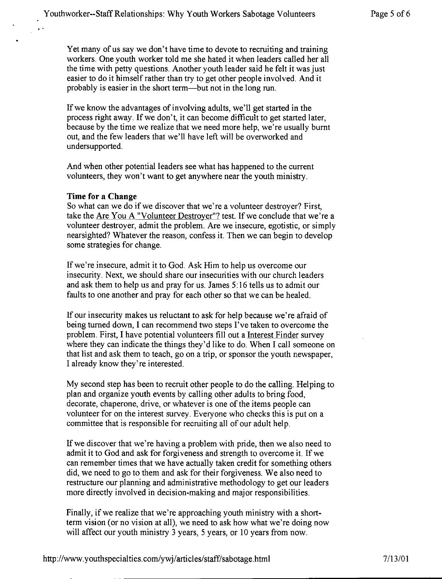Yet many of us say we don't have time to devote to recruiting and training workers. One youth worker told me she hated it when leaders called her all the time with petty questions. Another youth leader said he felt it was just easier to do it himself rather than try to get other people involved. And it probably is easier in the short term-but not in the long run.

If we know the advantages of involving adults, we'll get started in the process right away. If we don't, it can become difficult to get started later, because by the time we realize that we need more help, we're usually burnt out, and the few leaders that we'll have left will be overworked and undersupported.

And when other potential leaders see what has happened to the current volunteers, they won't want to get anywhere near the youth ministry.

#### **Time for a Change**

.<br>...

So what can we do if we discover that we're a volunteer destroyer? First, take the Are You A "Volunteer Destroyer"? test. If we conclude that we're a volunteer destroyer, admit the problem. Are we insecure, egotistic, or simply nearsighted? Whatever the reason, confess it. Then we can begin to develop some strategies for change.

If we're insecure, admit it to God. Ask Him to help us overcome our insecurity. Next, we should share our insecurities with our church leaders and ask them to help us and pray for us. James 5:16 tells us to admit our faults to one another and pray for each other so that we can be healed.

If our insecurity makes us reluctant to ask for help because we're afraid of being turned down, I can recommend two steps I've taken to overcome the problem. First, I have potential volunteers fill out a Interest Finder survey where they can indicate the things they'd like to do. When I call someone on that list and ask them to teach, go on a trip, or sponsor the youth newspaper, I already know they're interested.

My second step has been to recruit other people to do the calling. Helping to plan and organize youth events by calling other adults to bring food, decorate, chaperone, drive, or whatever is one of the items people can volunteer for on the interest survey. Everyone who checks this is put on a committee that is responsible for recruiting all of our adult help.

If we discover that we're having a problem with pride, then we also need to admit it to God and ask for forgiveness and strength to overcome it. If we can remember times that we have actually taken credit for something others did, we need to go to them and ask for their forgiveness. We also need to restructure our planning and administrative methodology to get our leaders more directly involved in decision-making and major responsibilities.

Finally, if we realize that we're approaching youth ministry with a shortterm vision (or no vision at all), we need to ask how what we're doing now will affect our youth ministry 3 years, 5 years, or 10 years from now.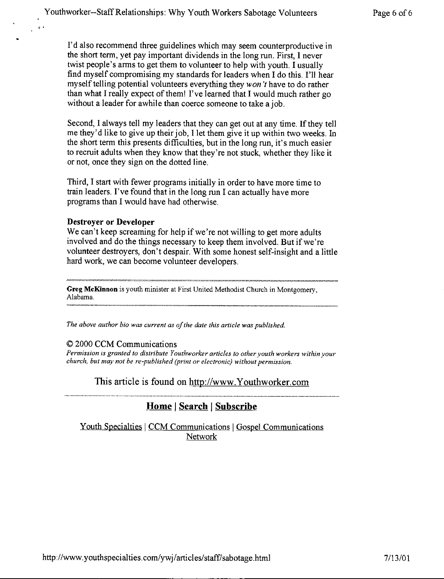I'd also recommend three guidelines which may seem counterproductive in the short term, yet pay important dividends in the long run. First, I never twist people's arms to get them to volunteer to help with youth. I usually find myself compromising my standards for leaders when I do this. I'll hear myself telling potential volunteers everything they *won't* have to do rather than what I really expect of them! I've learned that I would much rather go without a leader for awhile than coerce someone to take a job.

Second, I always tell my leaders that they can get out at any time. If they tell me they'd like to give up their job, I let them give it up within two weeks. In the short term this presents difficulties, but in the long run, it's much easier to recruit adults when they know that they're not stuck, whether they like it or not, once they sign on the dotted line.

Third, I start with fewer programs initially in order to have more time to train leaders. I've found that in the long run I can actually have more programs than I would have had otherwise.

#### **Destroyer or Developer**

 $\frac{1}{2}$  .

We can't keep screaming for help if we're not willing to get more adults involved and do the things necessary to keep them involved. But if we're volunteer destroyers, don't despair. With some honest self-insight and a little hard work, we can become volunteer developers.

**Greg McKinnon** is youth minister at First United Methodist Church in Montgomery, Alabama.

*The above author bio was current as of the date this article was published.* 

## © 2000 CCM Communications

*Permission is granted to distribute Youthworker articles to other youth workers within your church, but may not be re-published (print or electronic) without permission.* 

This article is found on http://www.Youthworker.com

#### ········································•·······························································------ **Home I Search I Subscribe**

Youth Specialties | CCM Communications | Gospel Communications Network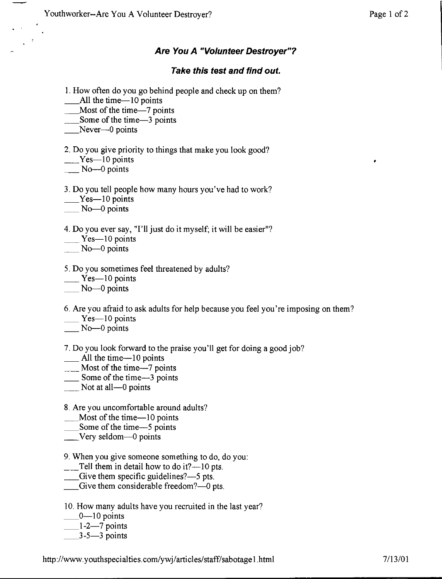# **Are You A "Volunteer Destroyer"?**

## **Take this test and find out.**

- I. How often do you go behind people and check up on them?
- $All$  the time $-10$  points
- Most of the time-7 points

Some of the time-3 points

 $Never-0$  points

2. Do you give priority to things that make you look good?

 $Yes-10$  points

 $No$ -0 points

3. Do you tell people how many hours you've had to work?

- $Yes$ —10 points
- $N<sub>0</sub>$  points

4. Do you ever say, "I'll just do it myself; it will be easier"?

 $Yes - 10 points$ 

 $N<sub>0</sub>$  points

5. Do you sometimes feel threatened by adults?

 $Yes-10 points$ 

 $\sim$ No $-0$  points

6. Are you afraid to ask adults for help because you feel you're imposing on them?

- $Yes-10$  points
- $\sim$  No-0 points

7. Do you look forward to the praise you'll get for doing a good job?

- $\Box$  All the time $-10$  points
- Most of the time-7 points
- $\frac{1}{2}$  Some of the time $-3$  points
- Not at all-0 points

8. Are you uncomfortable around adults?

- Most of the time $-10$  points
- Some of the time-5 points
- \_\_ Very seldom-0 points

9. When you give someone something to do, do you:

- Tell them in detail how to do it? $-10$  pts.
- Give them specific guidelines?—5 pts.
- $\equiv$  Give them considerable freedom? $\equiv$ 0 pts.

10. How many adults have you recruited in the last year?

- $-0$ -10 points
- $1-2$  -7 points
- $3-5-3$  points

http://www.youthspecialties.com/ywj/articles/staff/sabotage I .html